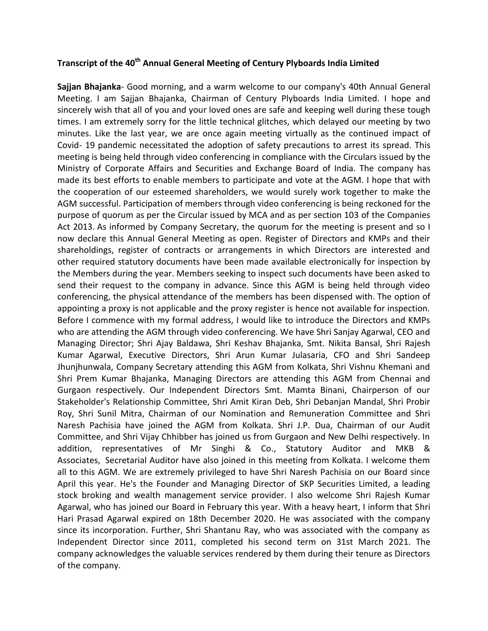## **Transcript of the 40th Annual General Meeting of Century Plyboards India Limited**

**Sajjan Bhajanka**- Good morning, and a warm welcome to our company's 40th Annual General Meeting. I am Sajjan Bhajanka, Chairman of Century Plyboards India Limited. I hope and sincerely wish that all of you and your loved ones are safe and keeping well during these tough times. I am extremely sorry for the little technical glitches, which delayed our meeting by two minutes. Like the last year, we are once again meeting virtually as the continued impact of Covid- 19 pandemic necessitated the adoption of safety precautions to arrest its spread. This meeting is being held through video conferencing in compliance with the Circulars issued by the Ministry of Corporate Affairs and Securities and Exchange Board of India. The company has made its best efforts to enable members to participate and vote at the AGM. I hope that with the cooperation of our esteemed shareholders, we would surely work together to make the AGM successful. Participation of members through video conferencing is being reckoned for the purpose of quorum as per the Circular issued by MCA and as per section 103 of the Companies Act 2013. As informed by Company Secretary, the quorum for the meeting is present and so I now declare this Annual General Meeting as open. Register of Directors and KMPs and their shareholdings, register of contracts or arrangements in which Directors are interested and other required statutory documents have been made available electronically for inspection by the Members during the year. Members seeking to inspect such documents have been asked to send their request to the company in advance. Since this AGM is being held through video conferencing, the physical attendance of the members has been dispensed with. The option of appointing a proxy is not applicable and the proxy register is hence not available for inspection. Before I commence with my formal address, I would like to introduce the Directors and KMPs who are attending the AGM through video conferencing. We have Shri Sanjay Agarwal, CEO and Managing Director; Shri Ajay Baldawa, Shri Keshav Bhajanka, Smt. Nikita Bansal, Shri Rajesh Kumar Agarwal, Executive Directors, Shri Arun Kumar Julasaria, CFO and Shri Sandeep Jhunjhunwala, Company Secretary attending this AGM from Kolkata, Shri Vishnu Khemani and Shri Prem Kumar Bhajanka, Managing Directors are attending this AGM from Chennai and Gurgaon respectively. Our Independent Directors Smt. Mamta Binani, Chairperson of our Stakeholder's Relationship Committee, Shri Amit Kiran Deb, Shri Debanjan Mandal, Shri Probir Roy, Shri Sunil Mitra, Chairman of our Nomination and Remuneration Committee and Shri Naresh Pachisia have joined the AGM from Kolkata. Shri J.P. Dua, Chairman of our Audit Committee, and Shri Vijay Chhibber has joined us from Gurgaon and New Delhi respectively. In addition, representatives of Mr Singhi & Co., Statutory Auditor and MKB & Associates, Secretarial Auditor have also joined in this meeting from Kolkata. I welcome them all to this AGM. We are extremely privileged to have Shri Naresh Pachisia on our Board since April this year. He's the Founder and Managing Director of SKP Securities Limited, a leading stock broking and wealth management service provider. I also welcome Shri Rajesh Kumar Agarwal, who has joined our Board in February this year. With a heavy heart, I inform that Shri Hari Prasad Agarwal expired on 18th December 2020. He was associated with the company since its incorporation. Further, Shri Shantanu Ray, who was associated with the company as Independent Director since 2011, completed his second term on 31st March 2021. The company acknowledges the valuable services rendered by them during their tenure as Directors of the company.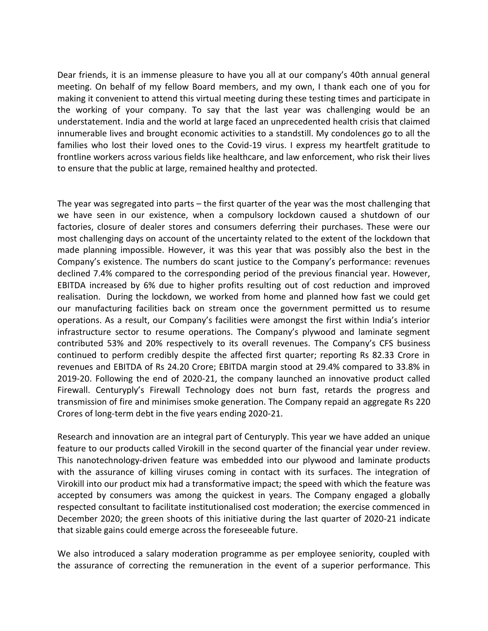Dear friends, it is an immense pleasure to have you all at our company's 40th annual general meeting. On behalf of my fellow Board members, and my own, I thank each one of you for making it convenient to attend this virtual meeting during these testing times and participate in the working of your company. To say that the last year was challenging would be an understatement. India and the world at large faced an unprecedented health crisis that claimed innumerable lives and brought economic activities to a standstill. My condolences go to all the families who lost their loved ones to the Covid-19 virus. I express my heartfelt gratitude to frontline workers across various fields like healthcare, and law enforcement, who risk their lives to ensure that the public at large, remained healthy and protected.

The year was segregated into parts – the first quarter of the year was the most challenging that we have seen in our existence, when a compulsory lockdown caused a shutdown of our factories, closure of dealer stores and consumers deferring their purchases. These were our most challenging days on account of the uncertainty related to the extent of the lockdown that made planning impossible. However, it was this year that was possibly also the best in the Company's existence. The numbers do scant justice to the Company's performance: revenues declined 7.4% compared to the corresponding period of the previous financial year. However, EBITDA increased by 6% due to higher profits resulting out of cost reduction and improved realisation. During the lockdown, we worked from home and planned how fast we could get our manufacturing facilities back on stream once the government permitted us to resume operations. As a result, our Company's facilities were amongst the first within India's interior infrastructure sector to resume operations. The Company's plywood and laminate segment contributed 53% and 20% respectively to its overall revenues. The Company's CFS business continued to perform credibly despite the affected first quarter; reporting Rs 82.33 Crore in revenues and EBITDA of Rs 24.20 Crore; EBITDA margin stood at 29.4% compared to 33.8% in 2019-20. Following the end of 2020-21, the company launched an innovative product called Firewall. Centuryply's Firewall Technology does not burn fast, retards the progress and transmission of fire and minimises smoke generation. The Company repaid an aggregate Rs 220 Crores of long-term debt in the five years ending 2020-21.

Research and innovation are an integral part of Centuryply. This year we have added an unique feature to our products called Virokill in the second quarter of the financial year under review. This nanotechnology-driven feature was embedded into our plywood and laminate products with the assurance of killing viruses coming in contact with its surfaces. The integration of Virokill into our product mix had a transformative impact; the speed with which the feature was accepted by consumers was among the quickest in years. The Company engaged a globally respected consultant to facilitate institutionalised cost moderation; the exercise commenced in December 2020; the green shoots of this initiative during the last quarter of 2020-21 indicate that sizable gains could emerge across the foreseeable future.

We also introduced a salary moderation programme as per employee seniority, coupled with the assurance of correcting the remuneration in the event of a superior performance. This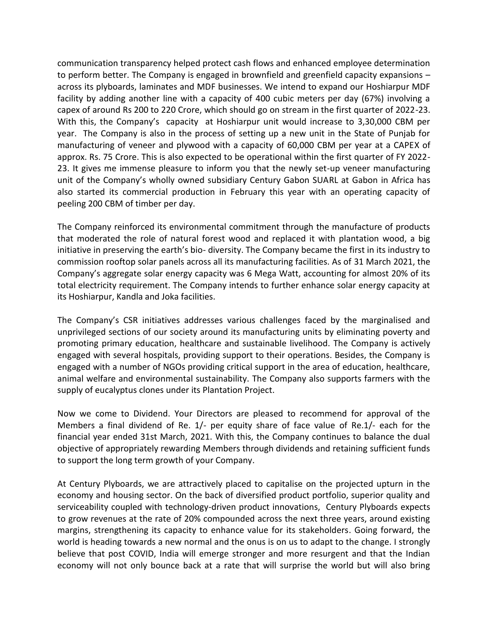communication transparency helped protect cash flows and enhanced employee determination to perform better. The Company is engaged in brownfield and greenfield capacity expansions – across its plyboards, laminates and MDF businesses. We intend to expand our Hoshiarpur MDF facility by adding another line with a capacity of 400 cubic meters per day (67%) involving a capex of around Rs 200 to 220 Crore, which should go on stream in the first quarter of 2022-23. With this, the Company's capacity at Hoshiarpur unit would increase to 3,30,000 CBM per year. The Company is also in the process of setting up a new unit in the State of Punjab for manufacturing of veneer and plywood with a capacity of 60,000 CBM per year at a CAPEX of approx. Rs. 75 Crore. This is also expected to be operational within the first quarter of FY 2022- 23. It gives me immense pleasure to inform you that the newly set-up veneer manufacturing unit of the Company's wholly owned subsidiary Century Gabon SUARL at Gabon in Africa has also started its commercial production in February this year with an operating capacity of peeling 200 CBM of timber per day.

The Company reinforced its environmental commitment through the manufacture of products that moderated the role of natural forest wood and replaced it with plantation wood, a big initiative in preserving the earth's bio- diversity. The Company became the first in its industry to commission rooftop solar panels across all its manufacturing facilities. As of 31 March 2021, the Company's aggregate solar energy capacity was 6 Mega Watt, accounting for almost 20% of its total electricity requirement. The Company intends to further enhance solar energy capacity at its Hoshiarpur, Kandla and Joka facilities.

The Company's CSR initiatives addresses various challenges faced by the marginalised and unprivileged sections of our society around its manufacturing units by eliminating poverty and promoting primary education, healthcare and sustainable livelihood. The Company is actively engaged with several hospitals, providing support to their operations. Besides, the Company is engaged with a number of NGOs providing critical support in the area of education, healthcare, animal welfare and environmental sustainability. The Company also supports farmers with the supply of eucalyptus clones under its Plantation Project.

Now we come to Dividend. Your Directors are pleased to recommend for approval of the Members a final dividend of Re. 1/- per equity share of face value of Re.1/- each for the financial year ended 31st March, 2021. With this, the Company continues to balance the dual objective of appropriately rewarding Members through dividends and retaining sufficient funds to support the long term growth of your Company.

At Century Plyboards, we are attractively placed to capitalise on the projected upturn in the economy and housing sector. On the back of diversified product portfolio, superior quality and serviceability coupled with technology-driven product innovations, Century Plyboards expects to grow revenues at the rate of 20% compounded across the next three years, around existing margins, strengthening its capacity to enhance value for its stakeholders. Going forward, the world is heading towards a new normal and the onus is on us to adapt to the change. I strongly believe that post COVID, India will emerge stronger and more resurgent and that the Indian economy will not only bounce back at a rate that will surprise the world but will also bring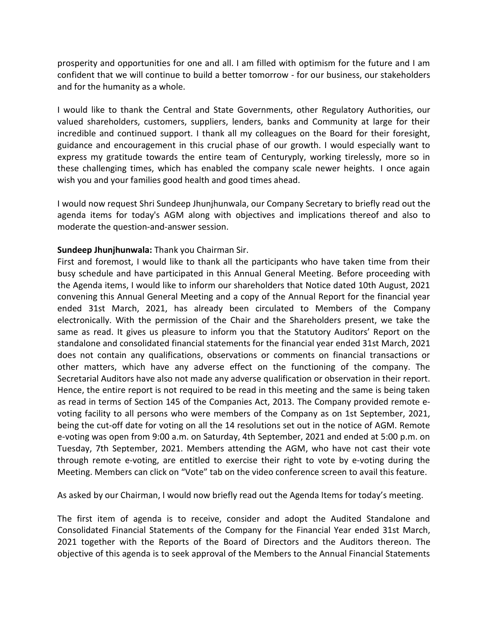prosperity and opportunities for one and all. I am filled with optimism for the future and I am confident that we will continue to build a better tomorrow - for our business, our stakeholders and for the humanity as a whole.

I would like to thank the Central and State Governments, other Regulatory Authorities, our valued shareholders, customers, suppliers, lenders, banks and Community at large for their incredible and continued support. I thank all my colleagues on the Board for their foresight, guidance and encouragement in this crucial phase of our growth. I would especially want to express my gratitude towards the entire team of Centuryply, working tirelessly, more so in these challenging times, which has enabled the company scale newer heights.  I once again wish you and your families good health and good times ahead.

I would now request Shri Sundeep Jhunjhunwala, our Company Secretary to briefly read out the agenda items for today's AGM along with objectives and implications thereof and also to moderate the question-and-answer session.

## **Sundeep Jhunjhunwala:** Thank you Chairman Sir.

First and foremost, I would like to thank all the participants who have taken time from their busy schedule and have participated in this Annual General Meeting. Before proceeding with the Agenda items, I would like to inform our shareholders that Notice dated 10th August, 2021 convening this Annual General Meeting and a copy of the Annual Report for the financial year ended 31st March, 2021, has already been circulated to Members of the Company electronically. With the permission of the Chair and the Shareholders present, we take the same as read. It gives us pleasure to inform you that the Statutory Auditors' Report on the standalone and consolidated financial statements for the financial year ended 31st March, 2021 does not contain any qualifications, observations or comments on financial transactions or other matters, which have any adverse effect on the functioning of the company. The Secretarial Auditors have also not made any adverse qualification or observation in their report. Hence, the entire report is not required to be read in this meeting and the same is being taken as read in terms of Section 145 of the Companies Act, 2013. The Company provided remote e‐ voting facility to all persons who were members of the Company as on 1st September, 2021, being the cut-off date for voting on all the 14 resolutions set out in the notice of AGM. Remote e-voting was open from 9:00 a.m. on Saturday, 4th September, 2021 and ended at 5:00 p.m. on Tuesday, 7th September, 2021. Members attending the AGM, who have not cast their vote through remote e‐voting, are entitled to exercise their right to vote by e‐voting during the Meeting. Members can click on "Vote" tab on the video conference screen to avail this feature.

As asked by our Chairman, I would now briefly read out the Agenda Items for today's meeting.

The first item of agenda is to receive, consider and adopt the Audited Standalone and Consolidated Financial Statements of the Company for the Financial Year ended 31st March, 2021 together with the Reports of the Board of Directors and the Auditors thereon. The objective of this agenda is to seek approval of the Members to the Annual Financial Statements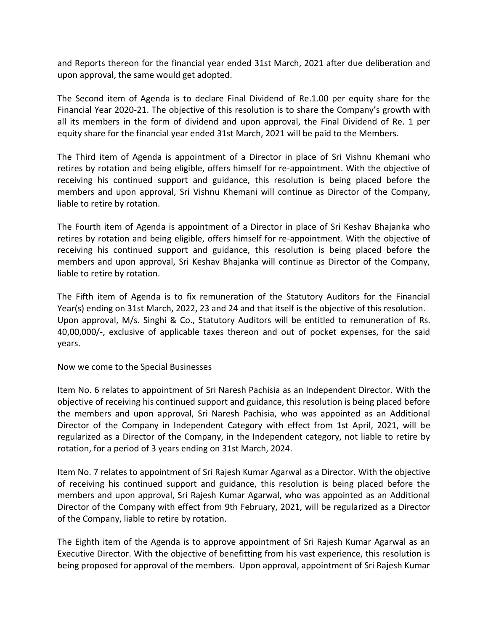and Reports thereon for the financial year ended 31st March, 2021 after due deliberation and upon approval, the same would get adopted.

The Second item of Agenda is to declare Final Dividend of Re.1.00 per equity share for the Financial Year 2020-21. The objective of this resolution is to share the Company's growth with all its members in the form of dividend and upon approval, the Final Dividend of Re. 1 per equity share for the financial year ended 31st March, 2021 will be paid to the Members.

The Third item of Agenda is appointment of a Director in place of Sri Vishnu Khemani who retires by rotation and being eligible, offers himself for re-appointment. With the objective of receiving his continued support and guidance, this resolution is being placed before the members and upon approval, Sri Vishnu Khemani will continue as Director of the Company, liable to retire by rotation.

The Fourth item of Agenda is appointment of a Director in place of Sri Keshav Bhajanka who retires by rotation and being eligible, offers himself for re-appointment. With the objective of receiving his continued support and guidance, this resolution is being placed before the members and upon approval, Sri Keshav Bhajanka will continue as Director of the Company, liable to retire by rotation.

The Fifth item of Agenda is to fix remuneration of the Statutory Auditors for the Financial Year(s) ending on 31st March, 2022, 23 and 24 and that itself is the objective of this resolution. Upon approval, M/s. Singhi & Co., Statutory Auditors will be entitled to remuneration of Rs. 40,00,000/-, exclusive of applicable taxes thereon and out of pocket expenses, for the said years.

Now we come to the Special Businesses

Item No. 6 relates to appointment of Sri Naresh Pachisia as an Independent Director. With the objective of receiving his continued support and guidance, this resolution is being placed before the members and upon approval, Sri Naresh Pachisia, who was appointed as an Additional Director of the Company in Independent Category with effect from 1st April, 2021, will be regularized as a Director of the Company, in the Independent category, not liable to retire by rotation, for a period of 3 years ending on 31st March, 2024.

Item No. 7 relates to appointment of Sri Rajesh Kumar Agarwal as a Director. With the objective of receiving his continued support and guidance, this resolution is being placed before the members and upon approval, Sri Rajesh Kumar Agarwal, who was appointed as an Additional Director of the Company with effect from 9th February, 2021, will be regularized as a Director of the Company, liable to retire by rotation.

The Eighth item of the Agenda is to approve appointment of Sri Rajesh Kumar Agarwal as an Executive Director. With the objective of benefitting from his vast experience, this resolution is being proposed for approval of the members. Upon approval, appointment of Sri Rajesh Kumar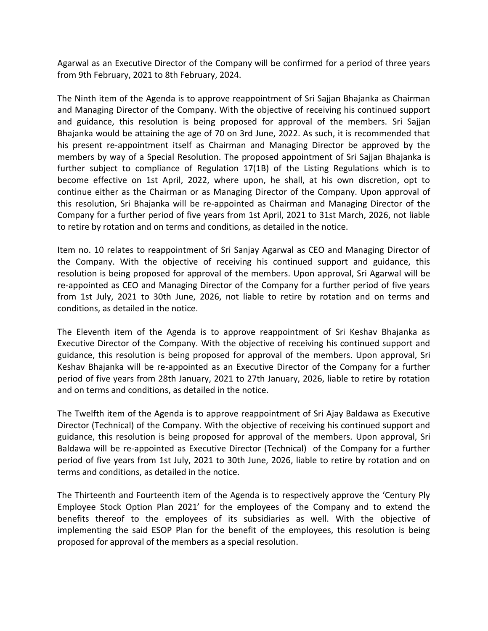Agarwal as an Executive Director of the Company will be confirmed for a period of three years from 9th February, 2021 to 8th February, 2024.

The Ninth item of the Agenda is to approve reappointment of Sri Sajjan Bhajanka as Chairman and Managing Director of the Company. With the objective of receiving his continued support and guidance, this resolution is being proposed for approval of the members. Sri Sajjan Bhajanka would be attaining the age of 70 on 3rd June, 2022. As such, it is recommended that his present re-appointment itself as Chairman and Managing Director be approved by the members by way of a Special Resolution. The proposed appointment of Sri Sajjan Bhajanka is further subject to compliance of Regulation 17(1B) of the Listing Regulations which is to become effective on 1st April, 2022, where upon, he shall, at his own discretion, opt to continue either as the Chairman or as Managing Director of the Company. Upon approval of this resolution, Sri Bhajanka will be re-appointed as Chairman and Managing Director of the Company for a further period of five years from 1st April, 2021 to 31st March, 2026, not liable to retire by rotation and on terms and conditions, as detailed in the notice.

Item no. 10 relates to reappointment of Sri Sanjay Agarwal as CEO and Managing Director of the Company. With the objective of receiving his continued support and guidance, this resolution is being proposed for approval of the members. Upon approval, Sri Agarwal will be re-appointed as CEO and Managing Director of the Company for a further period of five years from 1st July, 2021 to 30th June, 2026, not liable to retire by rotation and on terms and conditions, as detailed in the notice.

The Eleventh item of the Agenda is to approve reappointment of Sri Keshav Bhajanka as Executive Director of the Company. With the objective of receiving his continued support and guidance, this resolution is being proposed for approval of the members. Upon approval, Sri Keshav Bhajanka will be re-appointed as an Executive Director of the Company for a further period of five years from 28th January, 2021 to 27th January, 2026, liable to retire by rotation and on terms and conditions, as detailed in the notice.

The Twelfth item of the Agenda is to approve reappointment of Sri Ajay Baldawa as Executive Director (Technical) of the Company. With the objective of receiving his continued support and guidance, this resolution is being proposed for approval of the members. Upon approval, Sri Baldawa will be re-appointed as Executive Director (Technical) of the Company for a further period of five years from 1st July, 2021 to 30th June, 2026, liable to retire by rotation and on terms and conditions, as detailed in the notice.

The Thirteenth and Fourteenth item of the Agenda is to respectively approve the 'Century Ply Employee Stock Option Plan 2021' for the employees of the Company and to extend the benefits thereof to the employees of its subsidiaries as well. With the objective of implementing the said ESOP Plan for the benefit of the employees, this resolution is being proposed for approval of the members as a special resolution.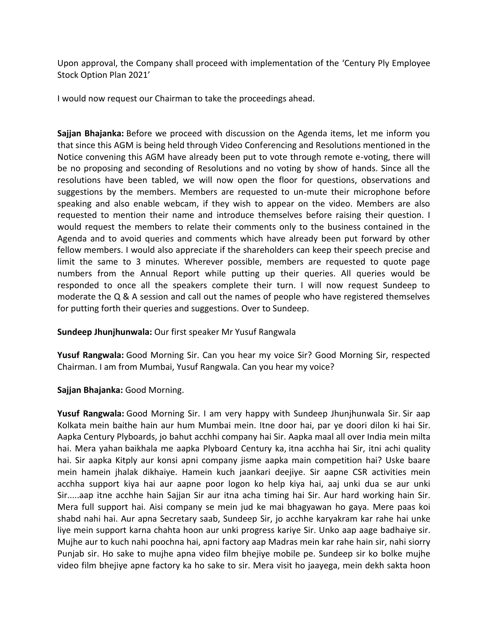Upon approval, the Company shall proceed with implementation of the 'Century Ply Employee Stock Option Plan 2021'

I would now request our Chairman to take the proceedings ahead.

**Sajjan Bhajanka:** Before we proceed with discussion on the Agenda items, let me inform you that since this AGM is being held through Video Conferencing and Resolutions mentioned in the Notice convening this AGM have already been put to vote through remote e-voting, there will be no proposing and seconding of Resolutions and no voting by show of hands. Since all the resolutions have been tabled, we will now open the floor for questions, observations and suggestions by the members. Members are requested to un-mute their microphone before speaking and also enable webcam, if they wish to appear on the video. Members are also requested to mention their name and introduce themselves before raising their question. I would request the members to relate their comments only to the business contained in the Agenda and to avoid queries and comments which have already been put forward by other fellow members. I would also appreciate if the shareholders can keep their speech precise and limit the same to 3 minutes. Wherever possible, members are requested to quote page numbers from the Annual Report while putting up their queries. All queries would be responded to once all the speakers complete their turn. I will now request Sundeep to moderate the Q & A session and call out the names of people who have registered themselves for putting forth their queries and suggestions. Over to Sundeep.

**Sundeep Jhunjhunwala:** Our first speaker Mr Yusuf Rangwala

**Yusuf Rangwala:** Good Morning Sir. Can you hear my voice Sir? Good Morning Sir, respected Chairman. I am from Mumbai, Yusuf Rangwala. Can you hear my voice?

**Sajjan Bhajanka:** Good Morning.

**Yusuf Rangwala:** Good Morning Sir. I am very happy with Sundeep Jhunjhunwala Sir. Sir aap Kolkata mein baithe hain aur hum Mumbai mein. Itne door hai, par ye doori dilon ki hai Sir. Aapka Century Plyboards, jo bahut acchhi company hai Sir. Aapka maal all over India mein milta hai. Mera yahan baikhala me aapka Plyboard Century ka, itna acchha hai Sir, itni achi quality hai. Sir aapka Kitply aur konsi apni company jisme aapka main competition hai? Uske baare mein hamein jhalak dikhaiye. Hamein kuch jaankari deejiye. Sir aapne CSR activities mein acchha support kiya hai aur aapne poor logon ko help kiya hai, aaj unki dua se aur unki Sir.....aap itne acchhe hain Sajjan Sir aur itna acha timing hai Sir. Aur hard working hain Sir. Mera full support hai. Aisi company se mein jud ke mai bhagyawan ho gaya. Mere paas koi shabd nahi hai. Aur apna Secretary saab, Sundeep Sir, jo acchhe karyakram kar rahe hai unke liye mein support karna chahta hoon aur unki progress kariye Sir. Unko aap aage badhaiye sir. Mujhe aur to kuch nahi poochna hai, apni factory aap Madras mein kar rahe hain sir, nahi siorry Punjab sir. Ho sake to mujhe apna video film bhejiye mobile pe. Sundeep sir ko bolke mujhe video film bhejiye apne factory ka ho sake to sir. Mera visit ho jaayega, mein dekh sakta hoon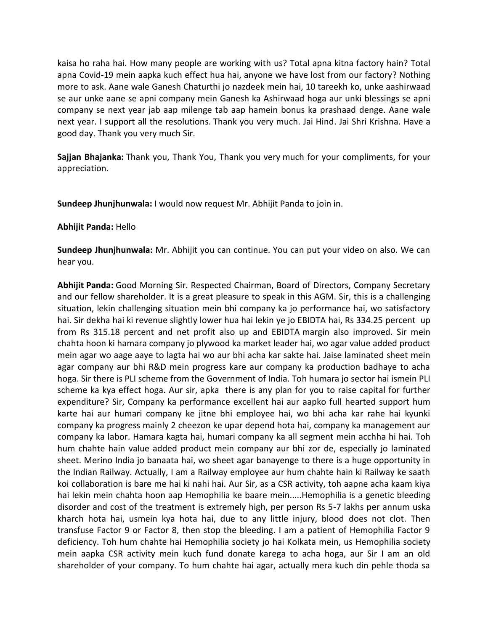kaisa ho raha hai. How many people are working with us? Total apna kitna factory hain? Total apna Covid-19 mein aapka kuch effect hua hai, anyone we have lost from our factory? Nothing more to ask. Aane wale Ganesh Chaturthi jo nazdeek mein hai, 10 tareekh ko, unke aashirwaad se aur unke aane se apni company mein Ganesh ka Ashirwaad hoga aur unki blessings se apni company se next year jab aap milenge tab aap hamein bonus ka prashaad denge. Aane wale next year. I support all the resolutions. Thank you very much. Jai Hind. Jai Shri Krishna. Have a good day. Thank you very much Sir.

**Sajjan Bhajanka:** Thank you, Thank You, Thank you very much for your compliments, for your appreciation.

**Sundeep Jhunjhunwala:** I would now request Mr. Abhijit Panda to join in.

## **Abhijit Panda:** Hello

**Sundeep Jhunjhunwala:** Mr. Abhijit you can continue. You can put your video on also. We can hear you.

**Abhijit Panda:** Good Morning Sir. Respected Chairman, Board of Directors, Company Secretary and our fellow shareholder. It is a great pleasure to speak in this AGM. Sir, this is a challenging situation, lekin challenging situation mein bhi company ka jo performance hai, wo satisfactory hai. Sir dekha hai ki revenue slightly lower hua hai lekin ye jo EBIDTA hai, Rs 334.25 percent up from Rs 315.18 percent and net profit also up and EBIDTA margin also improved. Sir mein chahta hoon ki hamara company jo plywood ka market leader hai, wo agar value added product mein agar wo aage aaye to lagta hai wo aur bhi acha kar sakte hai. Jaise laminated sheet mein agar company aur bhi R&D mein progress kare aur company ka production badhaye to acha hoga. Sir there is PLI scheme from the Government of India. Toh humara jo sector hai ismein PLI scheme ka kya effect hoga. Aur sir, apka there is any plan for you to raise capital for further expenditure? Sir, Company ka performance excellent hai aur aapko full hearted support hum karte hai aur humari company ke jitne bhi employee hai, wo bhi acha kar rahe hai kyunki company ka progress mainly 2 cheezon ke upar depend hota hai, company ka management aur company ka labor. Hamara kagta hai, humari company ka all segment mein acchha hi hai. Toh hum chahte hain value added product mein company aur bhi zor de, especially jo laminated sheet. Merino India jo banaata hai, wo sheet agar banayenge to there is a huge opportunity in the Indian Railway. Actually, I am a Railway employee aur hum chahte hain ki Railway ke saath koi collaboration is bare me hai ki nahi hai. Aur Sir, as a CSR activity, toh aapne acha kaam kiya hai lekin mein chahta hoon aap Hemophilia ke baare mein.....Hemophilia is a genetic bleeding disorder and cost of the treatment is extremely high, per person Rs 5-7 lakhs per annum uska kharch hota hai, usmein kya hota hai, due to any little injury, blood does not clot. Then transfuse Factor 9 or Factor 8, then stop the bleeding. I am a patient of Hemophilia Factor 9 deficiency. Toh hum chahte hai Hemophilia society jo hai Kolkata mein, us Hemophilia society mein aapka CSR activity mein kuch fund donate karega to acha hoga, aur Sir I am an old shareholder of your company. To hum chahte hai agar, actually mera kuch din pehle thoda sa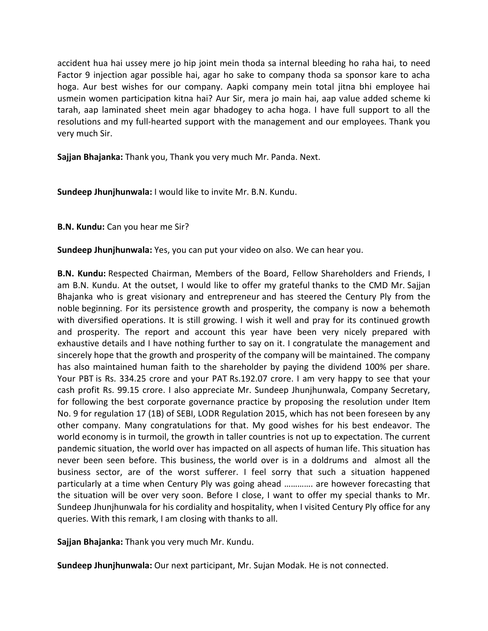accident hua hai ussey mere jo hip joint mein thoda sa internal bleeding ho raha hai, to need Factor 9 injection agar possible hai, agar ho sake to company thoda sa sponsor kare to acha hoga. Aur best wishes for our company. Aapki company mein total jitna bhi employee hai usmein women participation kitna hai? Aur Sir, mera jo main hai, aap value added scheme ki tarah, aap laminated sheet mein agar bhadogey to acha hoga. I have full support to all the resolutions and my full-hearted support with the management and our employees. Thank you very much Sir.

**Sajjan Bhajanka:** Thank you, Thank you very much Mr. Panda. Next.

**Sundeep Jhunjhunwala:** I would like to invite Mr. B.N. Kundu.

**B.N. Kundu:** Can you hear me Sir?

**Sundeep Jhunjhunwala:** Yes, you can put your video on also. We can hear you.

**B.N. Kundu:** Respected Chairman, Members of the Board, Fellow Shareholders and Friends, I am B.N. Kundu. At the outset, I would like to offer my grateful thanks to the CMD Mr. Sajjan Bhajanka who is great visionary and entrepreneur and has steered the Century Ply from the noble beginning. For its persistence growth and prosperity, the company is now a behemoth with diversified operations. It is still growing. I wish it well and pray for its continued growth and prosperity. The report and account this year have been very nicely prepared with exhaustive details and I have nothing further to say on it. I congratulate the management and sincerely hope that the growth and prosperity of the company will be maintained. The company has also maintained human faith to the shareholder by paying the dividend 100% per share. Your PBT is Rs. 334.25 crore and your PAT Rs.192.07 crore. I am very happy to see that your cash profit Rs. 99.15 crore. I also appreciate Mr. Sundeep Jhunjhunwala, Company Secretary, for following the best corporate governance practice by proposing the resolution under Item No. 9 for regulation 17 (1B) of SEBI, LODR Regulation 2015, which has not been foreseen by any other company. Many congratulations for that. My good wishes for his best endeavor. The world economy is in turmoil, the growth in taller countries is not up to expectation. The current pandemic situation, the world over has impacted on all aspects of human life. This situation has never been seen before. This business, the world over is in a doldrums and almost all the business sector, are of the worst sufferer. I feel sorry that such a situation happened particularly at a time when Century Ply was going ahead …………. are however forecasting that the situation will be over very soon. Before I close, I want to offer my special thanks to Mr. Sundeep Jhunjhunwala for his cordiality and hospitality, when I visited Century Ply office for any queries. With this remark, I am closing with thanks to all.

**Sajjan Bhajanka:** Thank you very much Mr. Kundu.

**Sundeep Jhunjhunwala:** Our next participant, Mr. Sujan Modak. He is not connected.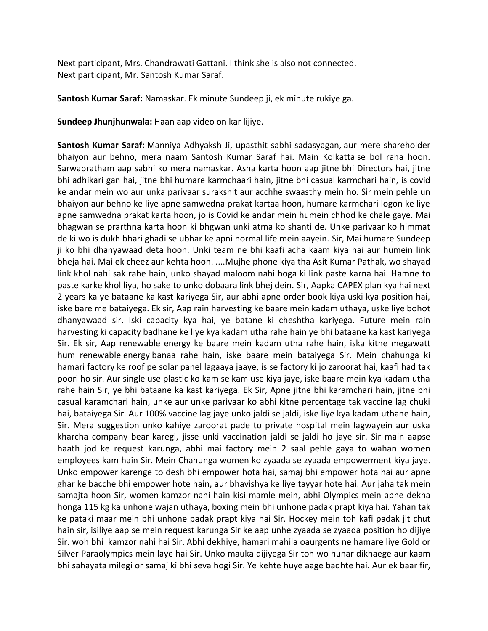Next participant, Mrs. Chandrawati Gattani. I think she is also not connected. Next participant, Mr. Santosh Kumar Saraf.

**Santosh Kumar Saraf:** Namaskar. Ek minute Sundeep ji, ek minute rukiye ga.

**Sundeep Jhunjhunwala:** Haan aap video on kar lijiye.

**Santosh Kumar Saraf:** Manniya Adhyaksh Ji, upasthit sabhi sadasyagan, aur mere shareholder bhaiyon aur behno, mera naam Santosh Kumar Saraf hai. Main Kolkatta se bol raha hoon. Sarwapratham aap sabhi ko mera namaskar. Asha karta hoon aap jitne bhi Directors hai, jitne bhi adhikari gan hai, jitne bhi humare karmchaari hain, jitne bhi casual karmchari hain, is covid ke andar mein wo aur unka parivaar surakshit aur acchhe swaasthy mein ho. Sir mein pehle un bhaiyon aur behno ke liye apne samwedna prakat kartaa hoon, humare karmchari logon ke liye apne samwedna prakat karta hoon, jo is Covid ke andar mein humein chhod ke chale gaye. Mai bhagwan se prarthna karta hoon ki bhgwan unki atma ko shanti de. Unke parivaar ko himmat de ki wo is dukh bhari ghadi se ubhar ke apni normal life mein aayein. Sir, Mai humare Sundeep ji ko bhi dhanyawaad deta hoon. Unki team ne bhi kaafi acha kaam kiya hai aur humein link bheja hai. Mai ek cheez aur kehta hoon. ....Mujhe phone kiya tha Asit Kumar Pathak, wo shayad link khol nahi sak rahe hain, unko shayad maloom nahi hoga ki link paste karna hai. Hamne to paste karke khol liya, ho sake to unko dobaara link bhej dein. Sir, Aapka CAPEX plan kya hai next 2 years ka ye bataane ka kast kariyega Sir, aur abhi apne order book kiya uski kya position hai, iske bare me bataiyega. Ek sir, Aap rain harvesting ke baare mein kadam uthaya, uske liye bohot dhanyawaad sir. Iski capacity kya hai, ye batane ki cheshtha kariyega. Future mein rain harvesting ki capacity badhane ke liye kya kadam utha rahe hain ye bhi bataane ka kast kariyega Sir. Ek sir, Aap renewable energy ke baare mein kadam utha rahe hain, iska kitne megawatt hum renewable energy banaa rahe hain, iske baare mein bataiyega Sir. Mein chahunga ki hamari factory ke roof pe solar panel lagaaya jaaye, is se factory ki jo zaroorat hai, kaafi had tak poori ho sir. Aur single use plastic ko kam se kam use kiya jaye, iske baare mein kya kadam utha rahe hain Sir, ye bhi bataane ka kast kariyega. Ek Sir, Apne jitne bhi karamchari hain, jitne bhi casual karamchari hain, unke aur unke parivaar ko abhi kitne percentage tak vaccine lag chuki hai, bataiyega Sir. Aur 100% vaccine lag jaye unko jaldi se jaldi, iske liye kya kadam uthane hain, Sir. Mera suggestion unko kahiye zaroorat pade to private hospital mein lagwayein aur uska kharcha company bear karegi, jisse unki vaccination jaldi se jaldi ho jaye sir. Sir main aapse haath jod ke request karunga, abhi mai factory mein 2 saal pehle gaya to wahan women employees kam hain Sir. Mein Chahunga women ko zyaada se zyaada empowerment kiya jaye. Unko empower karenge to desh bhi empower hota hai, samaj bhi empower hota hai aur apne ghar ke bacche bhi empower hote hain, aur bhavishya ke liye tayyar hote hai. Aur jaha tak mein samajta hoon Sir, women kamzor nahi hain kisi mamle mein, abhi Olympics mein apne dekha honga 115 kg ka unhone wajan uthaya, boxing mein bhi unhone padak prapt kiya hai. Yahan tak ke pataki maar mein bhi unhone padak prapt kiya hai Sir. Hockey mein toh kafi padak jit chut hain sir, isiliye aap se mein request karunga Sir ke aap unhe zyaada se zyaada position ho dijiye Sir. woh bhi kamzor nahi hai Sir. Abhi dekhiye, hamari mahila oaurgents ne hamare liye Gold or Silver Paraolympics mein laye hai Sir. Unko mauka dijiyega Sir toh wo hunar dikhaege aur kaam bhi sahayata milegi or samaj ki bhi seva hogi Sir. Ye kehte huye aage badhte hai. Aur ek baar fir,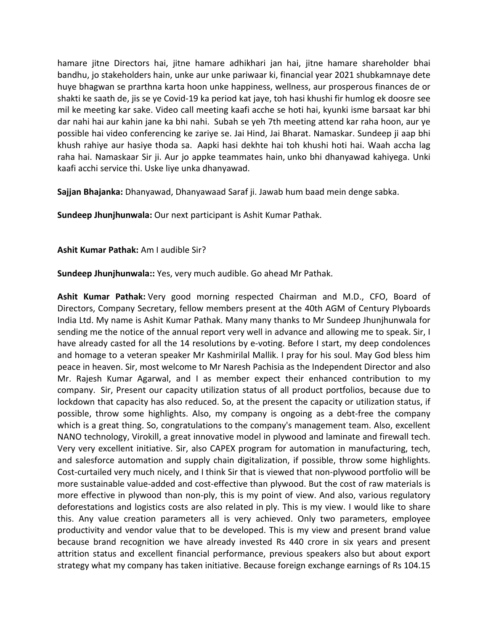hamare jitne Directors hai, jitne hamare adhikhari jan hai, jitne hamare shareholder bhai bandhu, jo stakeholders hain, unke aur unke pariwaar ki, financial year 2021 shubkamnaye dete huye bhagwan se prarthna karta hoon unke happiness, wellness, aur prosperous finances de or shakti ke saath de, jis se ye Covid-19 ka period kat jaye, toh hasi khushi fir humlog ek doosre see mil ke meeting kar sake. Video call meeting kaafi acche se hoti hai, kyunki isme barsaat kar bhi dar nahi hai aur kahin jane ka bhi nahi. Subah se yeh 7th meeting attend kar raha hoon, aur ye possible hai video conferencing ke zariye se. Jai Hind, Jai Bharat. Namaskar. Sundeep ji aap bhi khush rahiye aur hasiye thoda sa. Aapki hasi dekhte hai toh khushi hoti hai. Waah accha lag raha hai. Namaskaar Sir ji. Aur jo appke teammates hain, unko bhi dhanyawad kahiyega. Unki kaafi acchi service thi. Uske liye unka dhanyawad.

**Sajjan Bhajanka:** Dhanyawad, Dhanyawaad Saraf ji. Jawab hum baad mein denge sabka.

**Sundeep Jhunjhunwala:** Our next participant is Ashit Kumar Pathak.

**Ashit Kumar Pathak:** Am I audible Sir?

**Sundeep Jhunjhunwala::** Yes, very much audible. Go ahead Mr Pathak.

**Ashit Kumar Pathak:** Very good morning respected Chairman and M.D., CFO, Board of Directors, Company Secretary, fellow members present at the 40th AGM of Century Plyboards India Ltd. My name is Ashit Kumar Pathak. Many many thanks to Mr Sundeep Jhunjhunwala for sending me the notice of the annual report very well in advance and allowing me to speak. Sir, I have already casted for all the 14 resolutions by e-voting. Before I start, my deep condolences and homage to a veteran speaker Mr Kashmirilal Mallik. I pray for his soul. May God bless him peace in heaven. Sir, most welcome to Mr Naresh Pachisia as the Independent Director and also Mr. Rajesh Kumar Agarwal, and I as member expect their enhanced contribution to my company. Sir, Present our capacity utilization status of all product portfolios, because due to lockdown that capacity has also reduced. So, at the present the capacity or utilization status, if possible, throw some highlights. Also, my company is ongoing as a debt-free the company which is a great thing. So, congratulations to the company's management team. Also, excellent NANO technology, Virokill, a great innovative model in plywood and laminate and firewall tech. Very very excellent initiative. Sir, also CAPEX program for automation in manufacturing, tech, and salesforce automation and supply chain digitalization, if possible, throw some highlights. Cost-curtailed very much nicely, and I think Sir that is viewed that non-plywood portfolio will be more sustainable value-added and cost-effective than plywood. But the cost of raw materials is more effective in plywood than non-ply, this is my point of view. And also, various regulatory deforestations and logistics costs are also related in ply. This is my view. I would like to share this. Any value creation parameters all is very achieved. Only two parameters, employee productivity and vendor value that to be developed. This is my view and present brand value because brand recognition we have already invested Rs 440 crore in six years and present attrition status and excellent financial performance, previous speakers also but about export strategy what my company has taken initiative. Because foreign exchange earnings of Rs 104.15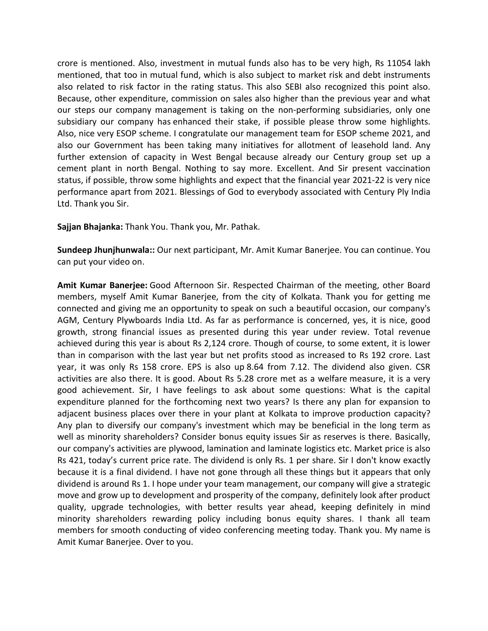crore is mentioned. Also, investment in mutual funds also has to be very high, Rs 11054 lakh mentioned, that too in mutual fund, which is also subject to market risk and debt instruments also related to risk factor in the rating status. This also SEBI also recognized this point also. Because, other expenditure, commission on sales also higher than the previous year and what our steps our company management is taking on the non-performing subsidiaries, only one subsidiary our company has enhanced their stake, if possible please throw some highlights. Also, nice very ESOP scheme. I congratulate our management team for ESOP scheme 2021, and also our Government has been taking many initiatives for allotment of leasehold land. Any further extension of capacity in West Bengal because already our Century group set up a cement plant in north Bengal. Nothing to say more. Excellent. And Sir present vaccination status, if possible, throw some highlights and expect that the financial year 2021-22 is very nice performance apart from 2021. Blessings of God to everybody associated with Century Ply India Ltd. Thank you Sir.

**Sajjan Bhajanka:** Thank You. Thank you, Mr. Pathak.

**Sundeep Jhunjhunwala::** Our next participant, Mr. Amit Kumar Banerjee. You can continue. You can put your video on.

**Amit Kumar Banerjee:** Good Afternoon Sir. Respected Chairman of the meeting, other Board members, myself Amit Kumar Banerjee, from the city of Kolkata. Thank you for getting me connected and giving me an opportunity to speak on such a beautiful occasion, our company's AGM, Century Plywboards India Ltd. As far as performance is concerned, yes, it is nice, good growth, strong financial issues as presented during this year under review. Total revenue achieved during this year is about Rs 2,124 crore. Though of course, to some extent, it is lower than in comparison with the last year but net profits stood as increased to Rs 192 crore. Last year, it was only Rs 158 crore. EPS is also up 8.64 from 7.12. The dividend also given. CSR activities are also there. It is good. About Rs 5.28 crore met as a welfare measure, it is a very good achievement. Sir, I have feelings to ask about some questions: What is the capital expenditure planned for the forthcoming next two years? Is there any plan for expansion to adjacent business places over there in your plant at Kolkata to improve production capacity? Any plan to diversify our company's investment which may be beneficial in the long term as well as minority shareholders? Consider bonus equity issues Sir as reserves is there. Basically, our company's activities are plywood, lamination and laminate logistics etc. Market price is also Rs 421, today's current price rate. The dividend is only Rs. 1 per share. Sir I don't know exactly because it is a final dividend. I have not gone through all these things but it appears that only dividend is around Rs 1. I hope under your team management, our company will give a strategic move and grow up to development and prosperity of the company, definitely look after product quality, upgrade technologies, with better results year ahead, keeping definitely in mind minority shareholders rewarding policy including bonus equity shares. I thank all team members for smooth conducting of video conferencing meeting today. Thank you. My name is Amit Kumar Banerjee. Over to you.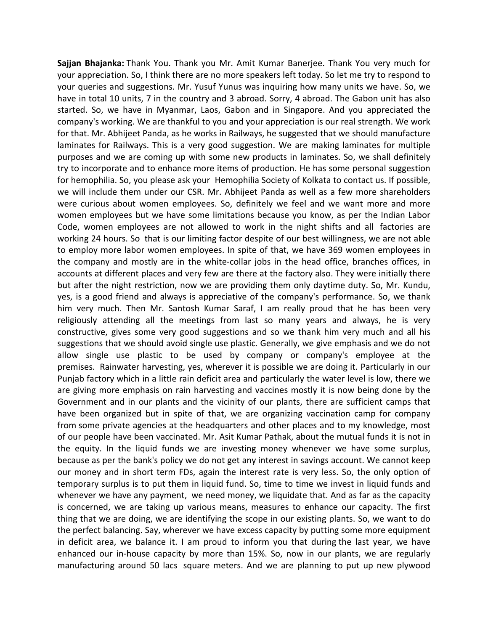**Sajjan Bhajanka:** Thank You. Thank you Mr. Amit Kumar Banerjee. Thank You very much for your appreciation. So, I think there are no more speakers left today. So let me try to respond to your queries and suggestions. Mr. Yusuf Yunus was inquiring how many units we have. So, we have in total 10 units, 7 in the country and 3 abroad. Sorry, 4 abroad. The Gabon unit has also started. So, we have in Myanmar, Laos, Gabon and in Singapore. And you appreciated the company's working. We are thankful to you and your appreciation is our real strength. We work for that. Mr. Abhijeet Panda, as he works in Railways, he suggested that we should manufacture laminates for Railways. This is a very good suggestion. We are making laminates for multiple purposes and we are coming up with some new products in laminates. So, we shall definitely try to incorporate and to enhance more items of production. He has some personal suggestion for hemophilia. So, you please ask your Hemophilia Society of Kolkata to contact us. If possible, we will include them under our CSR. Mr. Abhijeet Panda as well as a few more shareholders were curious about women employees. So, definitely we feel and we want more and more women employees but we have some limitations because you know, as per the Indian Labor Code, women employees are not allowed to work in the night shifts and all factories are working 24 hours. So that is our limiting factor despite of our best willingness, we are not able to employ more labor women employees. In spite of that, we have 369 women employees in the company and mostly are in the white-collar jobs in the head office, branches offices, in accounts at different places and very few are there at the factory also. They were initially there but after the night restriction, now we are providing them only daytime duty. So, Mr. Kundu, yes, is a good friend and always is appreciative of the company's performance. So, we thank him very much. Then Mr. Santosh Kumar Saraf, I am really proud that he has been very religiously attending all the meetings from last so many years and always, he is very constructive, gives some very good suggestions and so we thank him very much and all his suggestions that we should avoid single use plastic. Generally, we give emphasis and we do not allow single use plastic to be used by company or company's employee at the premises. Rainwater harvesting, yes, wherever it is possible we are doing it. Particularly in our Punjab factory which in a little rain deficit area and particularly the water level is low, there we are giving more emphasis on rain harvesting and vaccines mostly it is now being done by the Government and in our plants and the vicinity of our plants, there are sufficient camps that have been organized but in spite of that, we are organizing vaccination camp for company from some private agencies at the headquarters and other places and to my knowledge, most of our people have been vaccinated. Mr. Asit Kumar Pathak, about the mutual funds it is not in the equity. In the liquid funds we are investing money whenever we have some surplus, because as per the bank's policy we do not get any interest in savings account. We cannot keep our money and in short term FDs, again the interest rate is very less. So, the only option of temporary surplus is to put them in liquid fund. So, time to time we invest in liquid funds and whenever we have any payment, we need money, we liquidate that. And as far as the capacity is concerned, we are taking up various means, measures to enhance our capacity. The first thing that we are doing, we are identifying the scope in our existing plants. So, we want to do the perfect balancing. Say, wherever we have excess capacity by putting some more equipment in deficit area, we balance it. I am proud to inform you that during the last year, we have enhanced our in-house capacity by more than 15%. So, now in our plants, we are regularly manufacturing around 50 lacs square meters. And we are planning to put up new plywood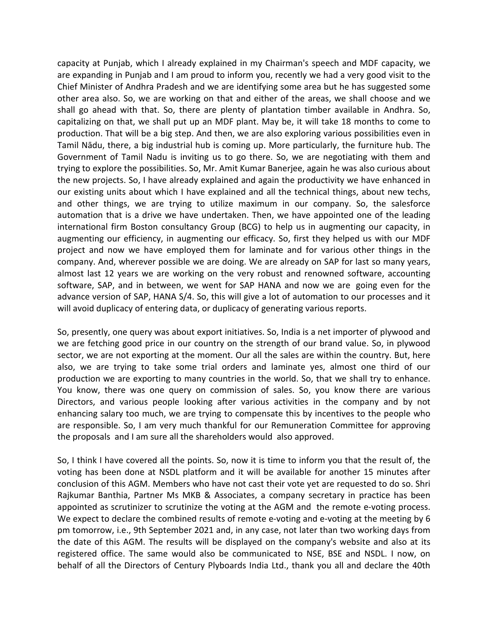capacity at Punjab, which I already explained in my Chairman's speech and MDF capacity, we are expanding in Punjab and I am proud to inform you, recently we had a very good visit to the Chief Minister of Andhra Pradesh and we are identifying some area but he has suggested some other area also. So, we are working on that and either of the areas, we shall choose and we shall go ahead with that. So, there are plenty of plantation timber available in Andhra. So, capitalizing on that, we shall put up an MDF plant. May be, it will take 18 months to come to production. That will be a big step. And then, we are also exploring various possibilities even in Tamil Nādu, there, a big industrial hub is coming up. More particularly, the furniture hub. The Government of Tamil Nadu is inviting us to go there. So, we are negotiating with them and trying to explore the possibilities. So, Mr. Amit Kumar Banerjee, again he was also curious about the new projects. So, I have already explained and again the productivity we have enhanced in our existing units about which I have explained and all the technical things, about new techs, and other things, we are trying to utilize maximum in our company. So, the salesforce automation that is a drive we have undertaken. Then, we have appointed one of the leading international firm Boston consultancy Group (BCG) to help us in augmenting our capacity, in augmenting our efficiency, in augmenting our efficacy. So, first they helped us with our MDF project and now we have employed them for laminate and for various other things in the company. And, wherever possible we are doing. We are already on SAP for last so many years, almost last 12 years we are working on the very robust and renowned software, accounting software, SAP, and in between, we went for SAP HANA and now we are going even for the advance version of SAP, HANA S/4. So, this will give a lot of automation to our processes and it will avoid duplicacy of entering data, or duplicacy of generating various reports.

So, presently, one query was about export initiatives. So, India is a net importer of plywood and we are fetching good price in our country on the strength of our brand value. So, in plywood sector, we are not exporting at the moment. Our all the sales are within the country. But, here also, we are trying to take some trial orders and laminate yes, almost one third of our production we are exporting to many countries in the world. So, that we shall try to enhance. You know, there was one query on commission of sales. So, you know there are various Directors, and various people looking after various activities in the company and by not enhancing salary too much, we are trying to compensate this by incentives to the people who are responsible. So, I am very much thankful for our Remuneration Committee for approving the proposals and I am sure all the shareholders would also approved.

So, I think I have covered all the points. So, now it is time to inform you that the result of, the voting has been done at NSDL platform and it will be available for another 15 minutes after conclusion of this AGM. Members who have not cast their vote yet are requested to do so. Shri Rajkumar Banthia, Partner Ms MKB & Associates, a company secretary in practice has been appointed as scrutinizer to scrutinize the voting at the AGM and the remote e-voting process. We expect to declare the combined results of remote e-voting and e-voting at the meeting by 6 pm tomorrow, i.e., 9th September 2021 and, in any case, not later than two working days from the date of this AGM. The results will be displayed on the company's website and also at its registered office. The same would also be communicated to NSE, BSE and NSDL. I now, on behalf of all the Directors of Century Plyboards India Ltd., thank you all and declare the 40th